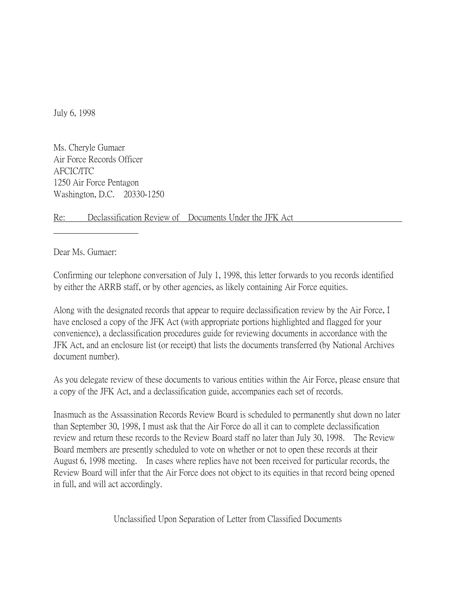July 6, 1998

Ms. Cheryle Gumaer Air Force Records Officer AFCIC/ITC 1250 Air Force Pentagon Washington, D.C. 20330-1250

Re: Declassification Review of Documents Under the JFK Act

Dear Ms. Gumaer:

Confirming our telephone conversation of July 1, 1998, this letter forwards to you records identified by either the ARRB staff, or by other agencies, as likely containing Air Force equities.

Along with the designated records that appear to require declassification review by the Air Force, I have enclosed a copy of the JFK Act (with appropriate portions highlighted and flagged for your convenience), a declassification procedures guide for reviewing documents in accordance with the JFK Act, and an enclosure list (or receipt) that lists the documents transferred (by National Archives document number).

As you delegate review of these documents to various entities within the Air Force, please ensure that a copy of the JFK Act, and a declassification guide, accompanies each set of records.

Inasmuch as the Assassination Records Review Board is scheduled to permanently shut down no later than September 30, 1998, I must ask that the Air Force do all it can to complete declassification review and return these records to the Review Board staff no later than July 30, 1998. The Review Board members are presently scheduled to vote on whether or not to open these records at their August 6, 1998 meeting. In cases where replies have not been received for particular records, the Review Board will infer that the Air Force does not object to its equities in that record being opened in full, and will act accordingly.

Unclassified Upon Separation of Letter from Classified Documents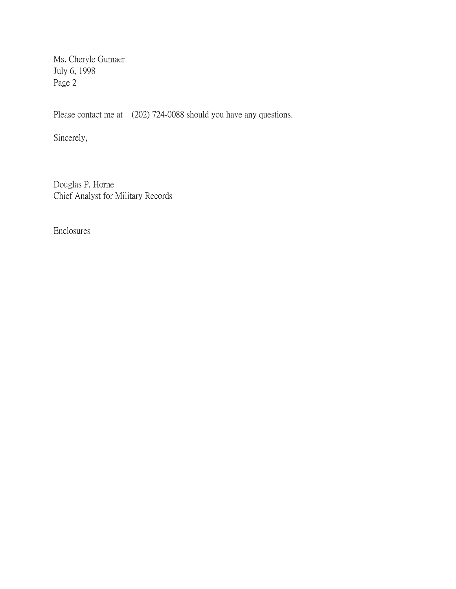Ms. Cheryle Gumaer July 6, 1998 Page 2

Please contact me at (202) 724-0088 should you have any questions.

Sincerely,

Douglas P. Horne Chief Analyst for Military Records

Enclosures